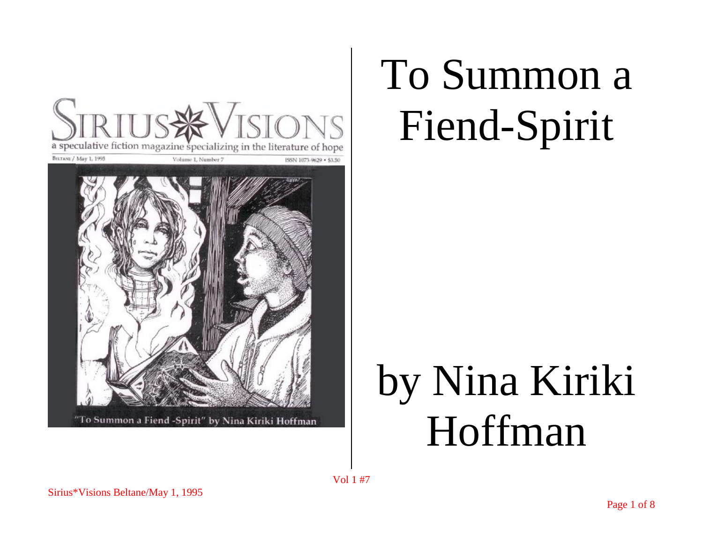

## To Summon a Fiend-Spirit

## by Nina Kiriki Hoffman

Vol 1 #7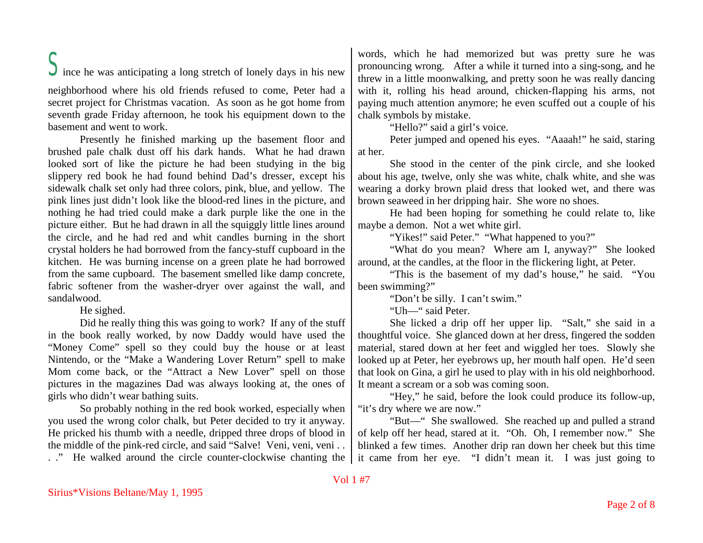$\sum$  ince he was anticipating a long stretch of lonely days in his new

neighborhood where his old friends refused to come, Peter had a secret project for Christmas vacation. As soon as he got home from seventh grade Friday afternoon, he took his equipment down to the basement and went to work.

Presently he finished marking up the basement floor and brushed pale chalk dust off his dark hands. What he had drawn looked sort of like the picture he had been studying in the big slippery red book he had found behind Dad's dresser, except his sidewalk chalk set only had three colors, pink, blue, and yellow. The pink lines just didn't look like the blood-red lines in the picture, and nothing he had tried could make a dark purple like the one in the picture either. But he had drawn in all the squiggly little lines around the circle, and he had red and whit candles burning in the short crystal holders he had borrowed from the fancy-stuff cupboard in the kitchen. He was burning incense on a green plate he had borrowed from the same cupboard. The basement smelled like damp concrete, fabric softener from the washer-dryer over against the wall, and sandalwood.

He sighed.

Did he really thing this was going to work? If any of the stuff in the book really worked, by now Daddy would have used the "Money Come" spell so they could buy the house or at least Nintendo, or the "Make a Wandering Lover Return" spell to make Mom come back, or the "Attract a New Lover" spell on those pictures in the magazines Dad was always looking at, the ones of girls who didn't wear bathing suits.

So probably nothing in the red book worked, especially when you used the wrong color chalk, but Peter decided to try it anyway. He pricked his thumb with a needle, dripped three drops of blood in the middle of the pink-red circle, and said "Salve! Veni, veni, veni . . . ." He walked around the circle counter-clockwise chanting the words, which he had memorized but was pretty sure he was pronouncing wrong. After a while it turned into a sing-song, and he threw in a little moonwalking, and pretty soon he was really dancing with it, rolling his head around, chicken-flapping his arms, not paying much attention anymore; he even scuffed out a couple of his chalk symbols by mistake.

"Hello?" said a girl's voice.

Peter jumped and opened his eyes. "Aaaah!" he said, staring at her.

She stood in the center of the pink circle, and she looked about his age, twelve, only she was white, chalk white, and she was wearing a dorky brown plaid dress that looked wet, and there was brown seaweed in her dripping hair. She wore no shoes.

He had been hoping for something he could relate to, like maybe a demon. Not a wet white girl.

"Yikes!" said Peter." "What happened to you?"

"What do you mean? Where am I, anyway?" She looked around, at the candles, at the floor in the flickering light, at Peter.

"This is the basement of my dad's house," he said. "You been swimming?"

"Don't be silly. I can't swim."

"Uh—" said Peter.

She licked a drip off her upper lip. "Salt," she said in a thoughtful voice. She glanced down at her dress, fingered the sodden material, stared down at her feet and wiggled her toes. Slowly she looked up at Peter, her eyebrows up, her mouth half open. He'd seen that look on Gina, a girl he used to play with in his old neighborhood. It meant a scream or a sob was coming soon.

"Hey," he said, before the look could produce its follow-up, "it's dry where we are now."

"But—" She swallowed. She reached up and pulled a strand of kelp off her head, stared at it. "Oh. Oh, I remember now." She blinked a few times. Another drip ran down her cheek but this time it came from her eye. "I didn't mean it. I was just going to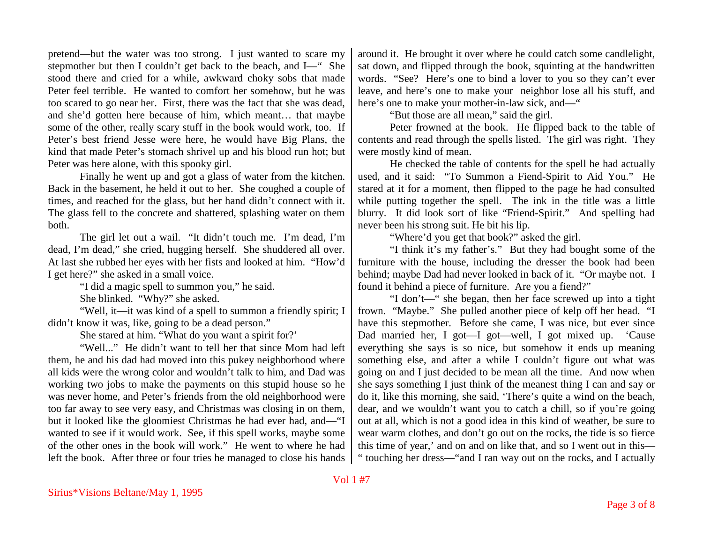pretend—but the water was too strong. I just wanted to scare my stepmother but then I couldn't get back to the beach, and I—" She stood there and cried for a while, awkward choky sobs that made Peter feel terrible. He wanted to comfort her somehow, but he was too scared to go near her. First, there was the fact that she was dead, and she'd gotten here because of him, which meant… that maybe some of the other, really scary stuff in the book would work, too. If Peter's best friend Jesse were here, he would have Big Plans, the kind that made Peter's stomach shrivel up and his blood run hot; but Peter was here alone, with this spooky girl.

Finally he went up and got a glass of water from the kitchen. Back in the basement, he held it out to her. She coughed a couple of times, and reached for the glass, but her hand didn't connect with it. The glass fell to the concrete and shattered, splashing water on them both.

The girl let out a wail. "It didn't touch me. I'm dead, I'm dead, I'm dead," she cried, hugging herself. She shuddered all over. At last she rubbed her eyes with her fists and looked at him. "How'd I get here?" she asked in a small voice.

"I did a magic spell to summon you," he said.

She blinked. "Why?" she asked.

"Well, it—it was kind of a spell to summon a friendly spirit; I didn't know it was, like, going to be a dead person."

She stared at him. "What do you want a spirit for?'

"Well..." He didn't want to tell her that since Mom had left them, he and his dad had moved into this pukey neighborhood where all kids were the wrong color and wouldn't talk to him, and Dad was working two jobs to make the payments on this stupid house so he was never home, and Peter's friends from the old neighborhood were too far away to see very easy, and Christmas was closing in on them, but it looked like the gloomiest Christmas he had ever had, and—"I wanted to see if it would work. See, if this spell works, maybe some of the other ones in the book will work." He went to where he had left the book. After three or four tries he managed to close his hands around it. He brought it over where he could catch some candlelight, sat down, and flipped through the book, squinting at the handwritten words. "See? Here's one to bind a lover to you so they can't ever leave, and here's one to make your neighbor lose all his stuff, and here's one to make your mother-in-law sick, and—"

"But those are all mean," said the girl.

Peter frowned at the book. He flipped back to the table of contents and read through the spells listed. The girl was right. They were mostly kind of mean.

He checked the table of contents for the spell he had actually used, and it said: "To Summon a Fiend-Spirit to Aid You." He stared at it for a moment, then flipped to the page he had consulted while putting together the spell. The ink in the title was a little blurry. It did look sort of like "Friend-Spirit." And spelling had never been his strong suit. He bit his lip.

"Where'd you get that book?" asked the girl.

"I think it's my father's." But they had bought some of the furniture with the house, including the dresser the book had been behind; maybe Dad had never looked in back of it. "Or maybe not. I found it behind a piece of furniture. Are you a fiend?"

"I don't—" she began, then her face screwed up into a tight frown. "Maybe." She pulled another piece of kelp off her head. "I have this stepmother. Before she came, I was nice, but ever since Dad married her, I got—I got—well, I got mixed up. 'Cause everything she says is so nice, but somehow it ends up meaning something else, and after a while I couldn't figure out what was going on and I just decided to be mean all the time. And now when she says something I just think of the meanest thing I can and say or do it, like this morning, she said, 'There's quite a wind on the beach, dear, and we wouldn't want you to catch a chill, so if you're going out at all, which is not a good idea in this kind of weather, be sure to wear warm clothes, and don't go out on the rocks, the tide is so fierce this time of year,' and on and on like that, and so I went out in this— " touching her dress—"and I ran way out on the rocks, and I actually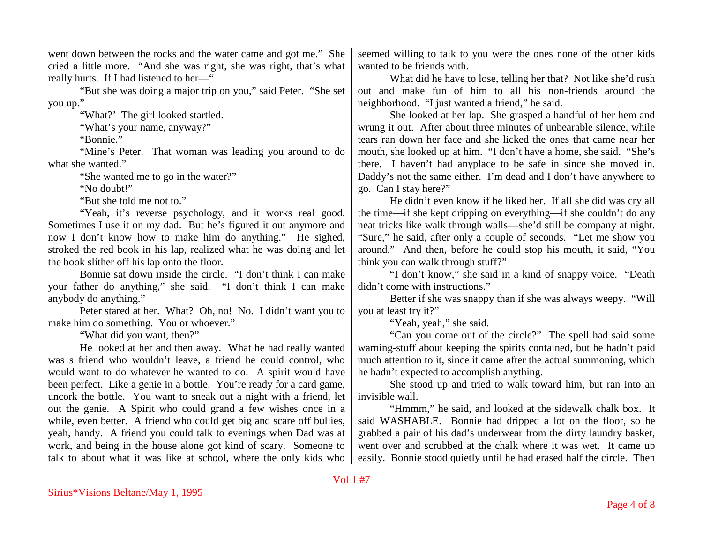went down between the rocks and the water came and got me." She cried a little more. "And she was right, she was right, that's what really hurts. If I had listened to her—"

"But she was doing a major trip on you," said Peter. "She set you up."

"What?' The girl looked startled.

"What's your name, anyway?"

"Bonnie."

"Mine's Peter. That woman was leading you around to do what she wanted."

"She wanted me to go in the water?"

"No doubt!"

"But she told me not to."

"Yeah, it's reverse psychology, and it works real good. Sometimes I use it on my dad. But he's figured it out anymore and now I don't know how to make him do anything." He sighed, stroked the red book in his lap, realized what he was doing and let the book slither off his lap onto the floor.

Bonnie sat down inside the circle. "I don't think I can make your father do anything," she said. "I don't think I can make anybody do anything."

Peter stared at her. What? Oh, no! No. I didn't want you to make him do something. You or whoever."

"What did you want, then?"

He looked at her and then away. What he had really wanted was s friend who wouldn't leave, a friend he could control, who would want to do whatever he wanted to do. A spirit would have been perfect. Like a genie in a bottle. You're ready for a card game, uncork the bottle. You want to sneak out a night with a friend, let out the genie. A Spirit who could grand a few wishes once in a while, even better. A friend who could get big and scare off bullies, yeah, handy. A friend you could talk to evenings when Dad was at work, and being in the house alone got kind of scary. Someone to talk to about what it was like at school, where the only kids who

seemed willing to talk to you were the ones none of the other kids wanted to be friends with.

What did he have to lose, telling her that? Not like she'd rush out and make fun of him to all his non-friends around the neighborhood. "I just wanted a friend," he said.

She looked at her lap. She grasped a handful of her hem and wrung it out. After about three minutes of unbearable silence, while tears ran down her face and she licked the ones that came near her mouth, she looked up at him. "I don't have a home, she said. "She's there. I haven't had anyplace to be safe in since she moved in. Daddy's not the same either. I'm dead and I don't have anywhere to go. Can I stay here?"

He didn't even know if he liked her. If all she did was cry all the time—if she kept dripping on everything—if she couldn't do any neat tricks like walk through walls—she'd still be company at night. "Sure," he said, after only a couple of seconds. "Let me show you around." And then, before he could stop his mouth, it said, "You think you can walk through stuff?"

"I don't know," she said in a kind of snappy voice. "Death didn't come with instructions."

Better if she was snappy than if she was always weepy. "Will you at least try it?"

"Yeah, yeah," she said.

"Can you come out of the circle?" The spell had said some warning-stuff about keeping the spirits contained, but he hadn't paid much attention to it, since it came after the actual summoning, which he hadn't expected to accomplish anything.

She stood up and tried to walk toward him, but ran into an invisible wall.

"Hmmm," he said, and looked at the sidewalk chalk box. It said WASHABLE. Bonnie had dripped a lot on the floor, so he grabbed a pair of his dad's underwear from the dirty laundry basket, went over and scrubbed at the chalk where it was wet. It came up easily. Bonnie stood quietly until he had erased half the circle. Then

## Vol 1 #7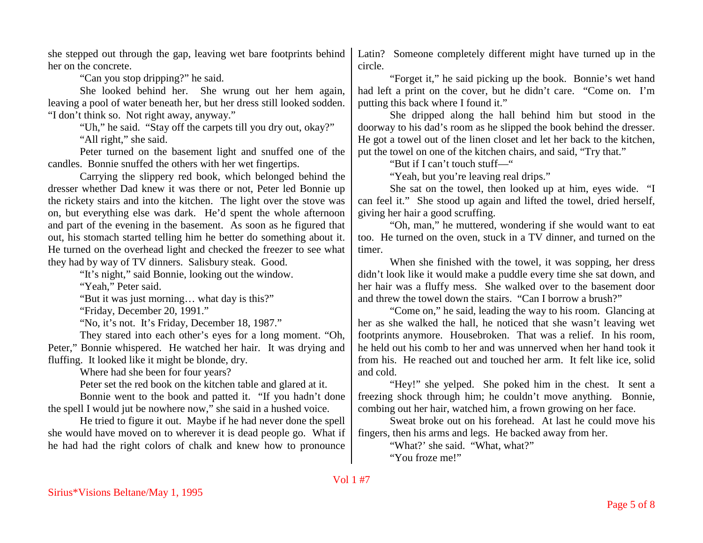she stepped out through the gap, leaving wet bare footprints behind her on the concrete.

"Can you stop dripping?" he said.

She looked behind her. She wrung out her hem again, leaving a pool of water beneath her, but her dress still looked sodden. "I don't think so. Not right away, anyway."

> "Uh," he said. "Stay off the carpets till you dry out, okay?" "All right," she said.

Peter turned on the basement light and snuffed one of the candles. Bonnie snuffed the others with her wet fingertips.

Carrying the slippery red book, which belonged behind the dresser whether Dad knew it was there or not, Peter led Bonnie up the rickety stairs and into the kitchen. The light over the stove was on, but everything else was dark. He'd spent the whole afternoon and part of the evening in the basement. As soon as he figured that out, his stomach started telling him he better do something about it. He turned on the overhead light and checked the freezer to see what they had by way of TV dinners. Salisbury steak. Good.

"It's night," said Bonnie, looking out the window.

"Yeah." Peter said.

"But it was just morning… what day is this?"

"Friday, December 20, 1991."

"No, it's not. It's Friday, December 18, 1987."

They stared into each other's eyes for a long moment. "Oh, Peter," Bonnie whispered. He watched her hair. It was drying and fluffing. It looked like it might be blonde, dry.

Where had she been for four years?

Peter set the red book on the kitchen table and glared at it.

Bonnie went to the book and patted it. "If you hadn't done the spell I would jut be nowhere now," she said in a hushed voice.

He tried to figure it out. Maybe if he had never done the spell she would have moved on to wherever it is dead people go. What if he had had the right colors of chalk and knew how to pronounce

Latin? Someone completely different might have turned up in the circle.

"Forget it," he said picking up the book. Bonnie's wet hand had left a print on the cover, but he didn't care. "Come on. I'm putting this back where I found it."

She dripped along the hall behind him but stood in the doorway to his dad's room as he slipped the book behind the dresser. He got a towel out of the linen closet and let her back to the kitchen, put the towel on one of the kitchen chairs, and said, "Try that."

"But if I can't touch stuff—"

"Yeah, but you're leaving real drips."

She sat on the towel, then looked up at him, eyes wide. "I can feel it." She stood up again and lifted the towel, dried herself, giving her hair a good scruffing.

"Oh, man," he muttered, wondering if she would want to eat too. He turned on the oven, stuck in a TV dinner, and turned on the timer.

When she finished with the towel, it was sopping, her dress didn't look like it would make a puddle every time she sat down, and her hair was a fluffy mess. She walked over to the basement door and threw the towel down the stairs. "Can I borrow a brush?"

"Come on," he said, leading the way to his room. Glancing at her as she walked the hall, he noticed that she wasn't leaving wet footprints anymore. Housebroken. That was a relief. In his room, he held out his comb to her and was unnerved when her hand took it from his. He reached out and touched her arm. It felt like ice, solid and cold.

"Hey!" she yelped. She poked him in the chest. It sent a freezing shock through him; he couldn't move anything. Bonnie, combing out her hair, watched him, a frown growing on her face.

Sweat broke out on his forehead. At last he could move his fingers, then his arms and legs. He backed away from her.

"What?' she said. "What, what?"

"You froze me!"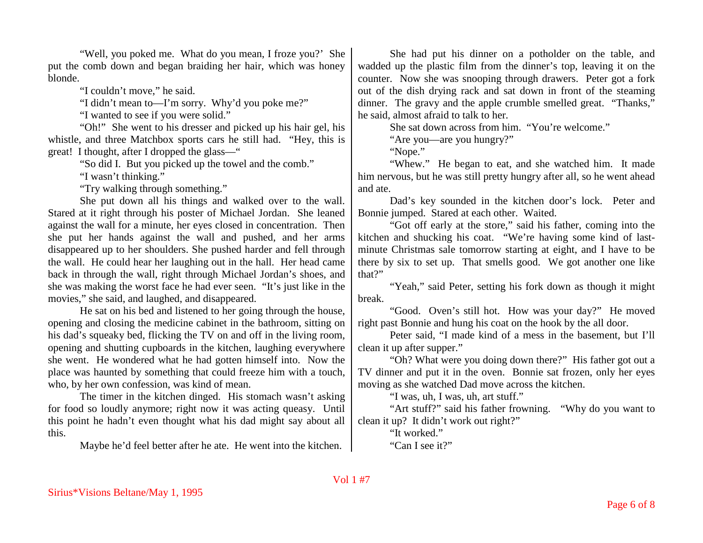"Well, you poked me. What do you mean, I froze you?' She put the comb down and began braiding her hair, which was honey blonde.

"I couldn't move," he said.

"I didn't mean to—I'm sorry. Why'd you poke me?"

"I wanted to see if you were solid."

"Oh!" She went to his dresser and picked up his hair gel, his whistle, and three Matchbox sports cars he still had. "Hey, this is great! I thought, after I dropped the glass—"

"So did I. But you picked up the towel and the comb."

"I wasn't thinking."

"Try walking through something."

She put down all his things and walked over to the wall. Stared at it right through his poster of Michael Jordan. She leaned against the wall for a minute, her eyes closed in concentration. Then she put her hands against the wall and pushed, and her arms disappeared up to her shoulders. She pushed harder and fell through the wall. He could hear her laughing out in the hall. Her head came back in through the wall, right through Michael Jordan's shoes, and she was making the worst face he had ever seen. "It's just like in the movies," she said, and laughed, and disappeared.

He sat on his bed and listened to her going through the house, opening and closing the medicine cabinet in the bathroom, sitting on his dad's squeaky bed, flicking the TV on and off in the living room, opening and shutting cupboards in the kitchen, laughing everywhere she went. He wondered what he had gotten himself into. Now the place was haunted by something that could freeze him with a touch, who, by her own confession, was kind of mean.

The timer in the kitchen dinged. His stomach wasn't asking for food so loudly anymore; right now it was acting queasy. Until this point he hadn't even thought what his dad might say about all this.

Maybe he'd feel better after he ate. He went into the kitchen.

She had put his dinner on a potholder on the table, and wadded up the plastic film from the dinner's top, leaving it on the counter. Now she was snooping through drawers. Peter got a fork out of the dish drying rack and sat down in front of the steaming dinner. The gravy and the apple crumble smelled great. "Thanks," he said, almost afraid to talk to her.

She sat down across from him. "You're welcome."

"Are you—are you hungry?"

"Nope."

"Whew." He began to eat, and she watched him. It made him nervous, but he was still pretty hungry after all, so he went ahead and ate.

Dad's key sounded in the kitchen door's lock. Peter and Bonnie jumped. Stared at each other. Waited.

"Got off early at the store," said his father, coming into the kitchen and shucking his coat. "We're having some kind of lastminute Christmas sale tomorrow starting at eight, and I have to be there by six to set up. That smells good. We got another one like that?"

"Yeah," said Peter, setting his fork down as though it might break.

"Good. Oven's still hot. How was your day?" He moved right past Bonnie and hung his coat on the hook by the all door.

Peter said, "I made kind of a mess in the basement, but I'll clean it up after supper."

"Oh? What were you doing down there?" His father got out a TV dinner and put it in the oven. Bonnie sat frozen, only her eyes moving as she watched Dad move across the kitchen.

"I was, uh, I was, uh, art stuff."

"Art stuff?" said his father frowning. "Why do you want to clean it up? It didn't work out right?"

> "It worked." "Can I see it?"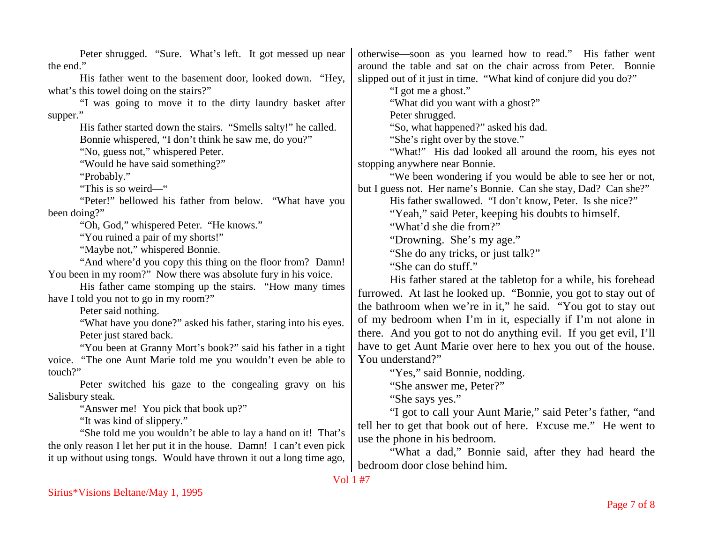| Peter shrugged. "Sure. What's left. It got messed up near              | otherwise—soon as you learned how to read." His father went        |
|------------------------------------------------------------------------|--------------------------------------------------------------------|
| the end."                                                              | around the table and sat on the chair across from Peter. Bonnie    |
| His father went to the basement door, looked down. "Hey,               | slipped out of it just in time. "What kind of conjure did you do?" |
| what's this towel doing on the stairs?"                                | "I got me a ghost."                                                |
| "I was going to move it to the dirty laundry basket after              | "What did you want with a ghost?"                                  |
| supper."                                                               | Peter shrugged.                                                    |
| His father started down the stairs. "Smells salty!" he called.         | "So, what happened?" asked his dad.                                |
| Bonnie whispered, "I don't think he saw me, do you?"                   | "She's right over by the stove."                                   |
| "No, guess not," whispered Peter.                                      | "What!" His dad looked all around the room, his eyes not           |
| "Would he have said something?"                                        | stopping anywhere near Bonnie.                                     |
| "Probably."                                                            | "We been wondering if you would be able to see her or not,         |
| "This is so weird-"                                                    | but I guess not. Her name's Bonnie. Can she stay, Dad? Can she?"   |
| "Peter!" bellowed his father from below. "What have you                | His father swallowed. "I don't know, Peter. Is she nice?"          |
| been doing?"                                                           | "Yeah," said Peter, keeping his doubts to himself.                 |
| "Oh, God," whispered Peter. "He knows."                                | "What'd she die from?"                                             |
| "You ruined a pair of my shorts!"                                      | "Drowning. She's my age."                                          |
| "Maybe not," whispered Bonnie.                                         | "She do any tricks, or just talk?"                                 |
| "And where'd you copy this thing on the floor from? Damn!              | "She can do stuff."                                                |
| You been in my room?" Now there was absolute fury in his voice.        | His father stared at the tabletop for a while, his forehead        |
| His father came stomping up the stairs. "How many times                |                                                                    |
| have I told you not to go in my room?"                                 | furrowed. At last he looked up. "Bonnie, you got to stay out of    |
| Peter said nothing.                                                    | the bathroom when we're in it," he said. "You got to stay out      |
| "What have you done?" asked his father, staring into his eyes.         | of my bedroom when I'm in it, especially if I'm not alone in       |
| Peter just stared back.                                                | there. And you got to not do anything evil. If you get evil, I'll  |
| "You been at Granny Mort's book?" said his father in a tight           | have to get Aunt Marie over here to hex you out of the house.      |
| voice. "The one Aunt Marie told me you wouldn't even be able to        | You understand?"                                                   |
| touch?"                                                                | "Yes," said Bonnie, nodding.                                       |
| Peter switched his gaze to the congealing gravy on his                 | "She answer me, Peter?"                                            |
| Salisbury steak.                                                       | "She says yes."                                                    |
| "Answer me! You pick that book up?"                                    | "I got to call your Aunt Marie," said Peter's father, "and         |
| "It was kind of slippery."                                             | tell her to get that book out of here. Excuse me." He went to      |
| "She told me you wouldn't be able to lay a hand on it! That's          | use the phone in his bedroom.                                      |
| the only reason I let her put it in the house. Damn! I can't even pick | "What a dad," Bonnie said, after they had heard the                |
| it up without using tongs. Would have thrown it out a long time ago,   |                                                                    |
|                                                                        | bedroom door close behind him.                                     |
| Vol 1 #7                                                               |                                                                    |
| Sirius*Visions Beltane/May 1, 1995                                     |                                                                    |
|                                                                        | Page 7 of 8                                                        |